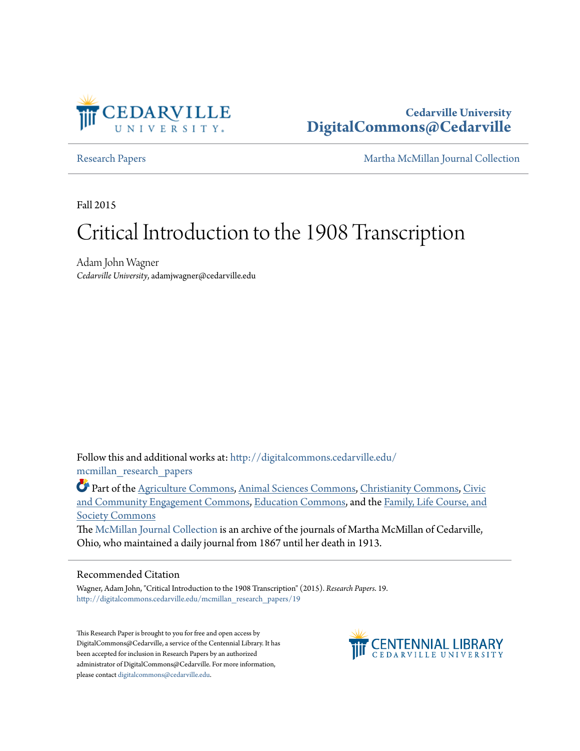

## **Cedarville University [DigitalCommons@Cedarville](http://digitalcommons.cedarville.edu?utm_source=digitalcommons.cedarville.edu%2Fmcmillan_research_papers%2F19&utm_medium=PDF&utm_campaign=PDFCoverPages)**

[Research Papers](http://digitalcommons.cedarville.edu/mcmillan_research_papers?utm_source=digitalcommons.cedarville.edu%2Fmcmillan_research_papers%2F19&utm_medium=PDF&utm_campaign=PDFCoverPages) [Martha McMillan Journal Collection](http://digitalcommons.cedarville.edu/mcmillan_journal_collection?utm_source=digitalcommons.cedarville.edu%2Fmcmillan_research_papers%2F19&utm_medium=PDF&utm_campaign=PDFCoverPages)

Fall 2015

# Critical Introduction to the 1908 Transcription

Adam John Wagner *Cedarville University*, adamjwagner@cedarville.edu

Follow this and additional works at: [http://digitalcommons.cedarville.edu/](http://digitalcommons.cedarville.edu/mcmillan_research_papers?utm_source=digitalcommons.cedarville.edu%2Fmcmillan_research_papers%2F19&utm_medium=PDF&utm_campaign=PDFCoverPages) [mcmillan\\_research\\_papers](http://digitalcommons.cedarville.edu/mcmillan_research_papers?utm_source=digitalcommons.cedarville.edu%2Fmcmillan_research_papers%2F19&utm_medium=PDF&utm_campaign=PDFCoverPages)

Part of the [Agriculture Commons](http://network.bepress.com/hgg/discipline/1076?utm_source=digitalcommons.cedarville.edu%2Fmcmillan_research_papers%2F19&utm_medium=PDF&utm_campaign=PDFCoverPages), [Animal Sciences Commons,](http://network.bepress.com/hgg/discipline/76?utm_source=digitalcommons.cedarville.edu%2Fmcmillan_research_papers%2F19&utm_medium=PDF&utm_campaign=PDFCoverPages) [Christianity Commons](http://network.bepress.com/hgg/discipline/1181?utm_source=digitalcommons.cedarville.edu%2Fmcmillan_research_papers%2F19&utm_medium=PDF&utm_campaign=PDFCoverPages), [Civic](http://network.bepress.com/hgg/discipline/1028?utm_source=digitalcommons.cedarville.edu%2Fmcmillan_research_papers%2F19&utm_medium=PDF&utm_campaign=PDFCoverPages) [and Community Engagement Commons,](http://network.bepress.com/hgg/discipline/1028?utm_source=digitalcommons.cedarville.edu%2Fmcmillan_research_papers%2F19&utm_medium=PDF&utm_campaign=PDFCoverPages) [Education Commons,](http://network.bepress.com/hgg/discipline/784?utm_source=digitalcommons.cedarville.edu%2Fmcmillan_research_papers%2F19&utm_medium=PDF&utm_campaign=PDFCoverPages) and the [Family, Life Course, and](http://network.bepress.com/hgg/discipline/419?utm_source=digitalcommons.cedarville.edu%2Fmcmillan_research_papers%2F19&utm_medium=PDF&utm_campaign=PDFCoverPages) [Society Commons](http://network.bepress.com/hgg/discipline/419?utm_source=digitalcommons.cedarville.edu%2Fmcmillan_research_papers%2F19&utm_medium=PDF&utm_campaign=PDFCoverPages)

The [McMillan Journal Collection](http://digitalcommons.cedarville.edu/mcmillan_journal_collection/) is an archive of the journals of Martha McMillan of Cedarville, Ohio, who maintained a daily journal from 1867 until her death in 1913.

#### Recommended Citation

Wagner, Adam John, "Critical Introduction to the 1908 Transcription" (2015). *Research Papers*. 19. [http://digitalcommons.cedarville.edu/mcmillan\\_research\\_papers/19](http://digitalcommons.cedarville.edu/mcmillan_research_papers/19?utm_source=digitalcommons.cedarville.edu%2Fmcmillan_research_papers%2F19&utm_medium=PDF&utm_campaign=PDFCoverPages)

This Research Paper is brought to you for free and open access by DigitalCommons@Cedarville, a service of the Centennial Library. It has been accepted for inclusion in Research Papers by an authorized administrator of DigitalCommons@Cedarville. For more information, please contact [digitalcommons@cedarville.edu.](mailto:digitalcommons@cedarville.edu)

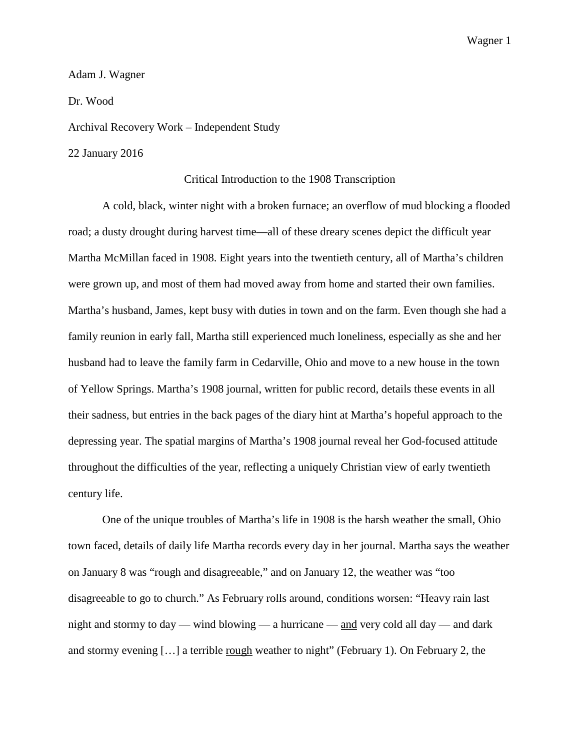#### Adam J. Wagner

Dr. Wood

Archival Recovery Work – Independent Study

22 January 2016

#### Critical Introduction to the 1908 Transcription

A cold, black, winter night with a broken furnace; an overflow of mud blocking a flooded road; a dusty drought during harvest time—all of these dreary scenes depict the difficult year Martha McMillan faced in 1908. Eight years into the twentieth century, all of Martha's children were grown up, and most of them had moved away from home and started their own families. Martha's husband, James, kept busy with duties in town and on the farm. Even though she had a family reunion in early fall, Martha still experienced much loneliness, especially as she and her husband had to leave the family farm in Cedarville, Ohio and move to a new house in the town of Yellow Springs. Martha's 1908 journal, written for public record, details these events in all their sadness, but entries in the back pages of the diary hint at Martha's hopeful approach to the depressing year. The spatial margins of Martha's 1908 journal reveal her God-focused attitude throughout the difficulties of the year, reflecting a uniquely Christian view of early twentieth century life.

One of the unique troubles of Martha's life in 1908 is the harsh weather the small, Ohio town faced, details of daily life Martha records every day in her journal. Martha says the weather on January 8 was "rough and disagreeable," and on January 12, the weather was "too disagreeable to go to church." As February rolls around, conditions worsen: "Heavy rain last night and stormy to day — wind blowing — a hurricane — and very cold all day — and dark and stormy evening [...] a terrible <u>rough</u> weather to night" (February 1). On February 2, the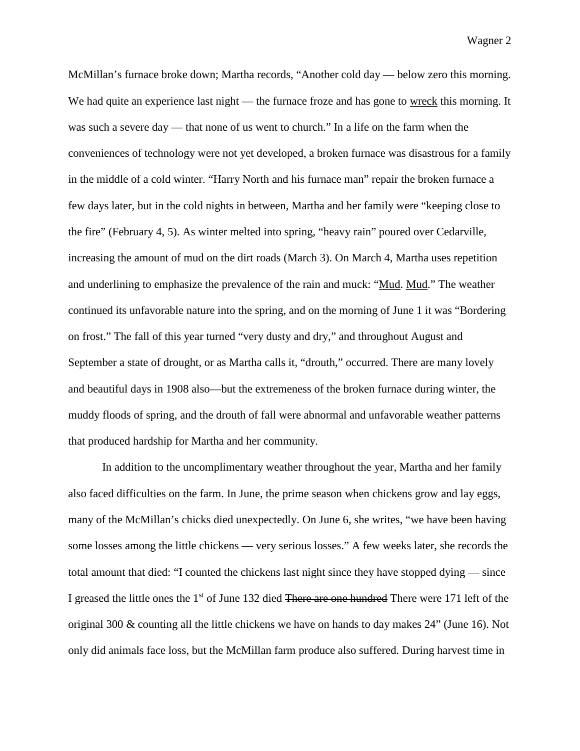McMillan's furnace broke down; Martha records, "Another cold day — below zero this morning. We had quite an experience last night — the furnace froze and has gone to wreck this morning. It was such a severe day — that none of us went to church." In a life on the farm when the conveniences of technology were not yet developed, a broken furnace was disastrous for a family in the middle of a cold winter. "Harry North and his furnace man" repair the broken furnace a few days later, but in the cold nights in between, Martha and her family were "keeping close to the fire" (February 4, 5). As winter melted into spring, "heavy rain" poured over Cedarville, increasing the amount of mud on the dirt roads (March 3). On March 4, Martha uses repetition and underlining to emphasize the prevalence of the rain and muck: "Mud. Mud." The weather continued its unfavorable nature into the spring, and on the morning of June 1 it was "Bordering on frost." The fall of this year turned "very dusty and dry," and throughout August and September a state of drought, or as Martha calls it, "drouth," occurred. There are many lovely and beautiful days in 1908 also—but the extremeness of the broken furnace during winter, the muddy floods of spring, and the drouth of fall were abnormal and unfavorable weather patterns that produced hardship for Martha and her community.

In addition to the uncomplimentary weather throughout the year, Martha and her family also faced difficulties on the farm. In June, the prime season when chickens grow and lay eggs, many of the McMillan's chicks died unexpectedly. On June 6, she writes, "we have been having some losses among the little chickens — very serious losses." A few weeks later, she records the total amount that died: "I counted the chickens last night since they have stopped dying — since I greased the little ones the 1<sup>st</sup> of June 132 died <del>There are one hundred</del> There were 171 left of the original 300 & counting all the little chickens we have on hands to day makes 24" (June 16). Not only did animals face loss, but the McMillan farm produce also suffered. During harvest time in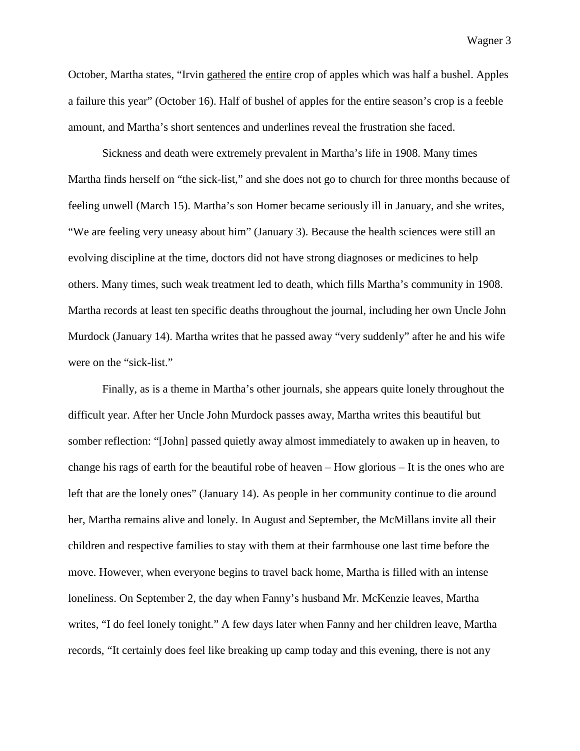October, Martha states, "Irvin gathered the entire crop of apples which was half a bushel. Apples a failure this year" (October 16). Half of bushel of apples for the entire season's crop is a feeble amount, and Martha's short sentences and underlines reveal the frustration she faced.

Sickness and death were extremely prevalent in Martha's life in 1908. Many times Martha finds herself on "the sick-list," and she does not go to church for three months because of feeling unwell (March 15). Martha's son Homer became seriously ill in January, and she writes, "We are feeling very uneasy about him" (January 3). Because the health sciences were still an evolving discipline at the time, doctors did not have strong diagnoses or medicines to help others. Many times, such weak treatment led to death, which fills Martha's community in 1908. Martha records at least ten specific deaths throughout the journal, including her own Uncle John Murdock (January 14). Martha writes that he passed away "very suddenly" after he and his wife were on the "sick-list."

Finally, as is a theme in Martha's other journals, she appears quite lonely throughout the difficult year. After her Uncle John Murdock passes away, Martha writes this beautiful but somber reflection: "[John] passed quietly away almost immediately to awaken up in heaven, to change his rags of earth for the beautiful robe of heaven – How glorious – It is the ones who are left that are the lonely ones" (January 14). As people in her community continue to die around her, Martha remains alive and lonely. In August and September, the McMillans invite all their children and respective families to stay with them at their farmhouse one last time before the move. However, when everyone begins to travel back home, Martha is filled with an intense loneliness. On September 2, the day when Fanny's husband Mr. McKenzie leaves, Martha writes, "I do feel lonely tonight." A few days later when Fanny and her children leave, Martha records, "It certainly does feel like breaking up camp today and this evening, there is not any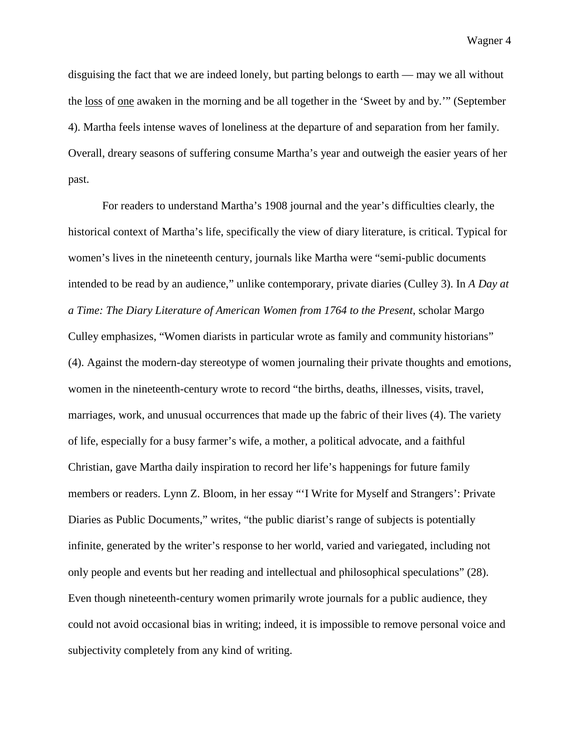disguising the fact that we are indeed lonely, but parting belongs to earth — may we all without the loss of one awaken in the morning and be all together in the 'Sweet by and by.'" (September 4). Martha feels intense waves of loneliness at the departure of and separation from her family. Overall, dreary seasons of suffering consume Martha's year and outweigh the easier years of her past.

For readers to understand Martha's 1908 journal and the year's difficulties clearly, the historical context of Martha's life, specifically the view of diary literature, is critical. Typical for women's lives in the nineteenth century, journals like Martha were "semi-public documents intended to be read by an audience," unlike contemporary, private diaries (Culley 3). In *A Day at a Time: The Diary Literature of American Women from 1764 to the Present*, scholar Margo Culley emphasizes, "Women diarists in particular wrote as family and community historians" (4). Against the modern-day stereotype of women journaling their private thoughts and emotions, women in the nineteenth-century wrote to record "the births, deaths, illnesses, visits, travel, marriages, work, and unusual occurrences that made up the fabric of their lives (4). The variety of life, especially for a busy farmer's wife, a mother, a political advocate, and a faithful Christian, gave Martha daily inspiration to record her life's happenings for future family members or readers. Lynn Z. Bloom, in her essay "'I Write for Myself and Strangers': Private Diaries as Public Documents," writes, "the public diarist's range of subjects is potentially infinite, generated by the writer's response to her world, varied and variegated, including not only people and events but her reading and intellectual and philosophical speculations" (28). Even though nineteenth-century women primarily wrote journals for a public audience, they could not avoid occasional bias in writing; indeed, it is impossible to remove personal voice and subjectivity completely from any kind of writing.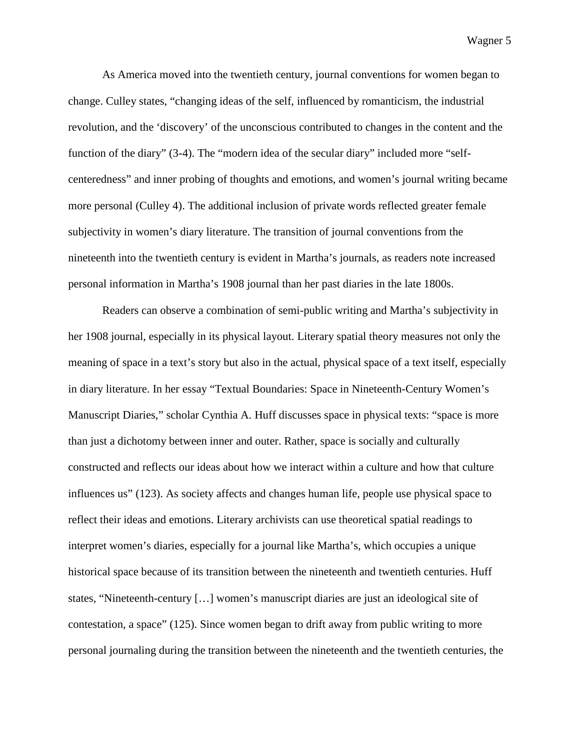As America moved into the twentieth century, journal conventions for women began to change. Culley states, "changing ideas of the self, influenced by romanticism, the industrial revolution, and the 'discovery' of the unconscious contributed to changes in the content and the function of the diary" (3-4). The "modern idea of the secular diary" included more "selfcenteredness" and inner probing of thoughts and emotions, and women's journal writing became more personal (Culley 4). The additional inclusion of private words reflected greater female subjectivity in women's diary literature. The transition of journal conventions from the nineteenth into the twentieth century is evident in Martha's journals, as readers note increased personal information in Martha's 1908 journal than her past diaries in the late 1800s.

Readers can observe a combination of semi-public writing and Martha's subjectivity in her 1908 journal, especially in its physical layout. Literary spatial theory measures not only the meaning of space in a text's story but also in the actual, physical space of a text itself, especially in diary literature. In her essay "Textual Boundaries: Space in Nineteenth-Century Women's Manuscript Diaries," scholar Cynthia A. Huff discusses space in physical texts: "space is more than just a dichotomy between inner and outer. Rather, space is socially and culturally constructed and reflects our ideas about how we interact within a culture and how that culture influences us" (123). As society affects and changes human life, people use physical space to reflect their ideas and emotions. Literary archivists can use theoretical spatial readings to interpret women's diaries, especially for a journal like Martha's, which occupies a unique historical space because of its transition between the nineteenth and twentieth centuries. Huff states, "Nineteenth-century […] women's manuscript diaries are just an ideological site of contestation, a space" (125). Since women began to drift away from public writing to more personal journaling during the transition between the nineteenth and the twentieth centuries, the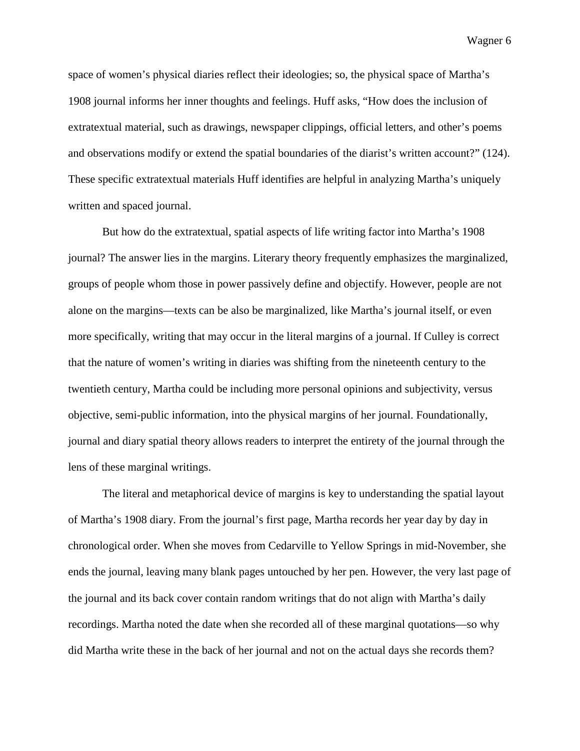space of women's physical diaries reflect their ideologies; so, the physical space of Martha's 1908 journal informs her inner thoughts and feelings. Huff asks, "How does the inclusion of extratextual material, such as drawings, newspaper clippings, official letters, and other's poems and observations modify or extend the spatial boundaries of the diarist's written account?" (124). These specific extratextual materials Huff identifies are helpful in analyzing Martha's uniquely written and spaced journal.

But how do the extratextual, spatial aspects of life writing factor into Martha's 1908 journal? The answer lies in the margins. Literary theory frequently emphasizes the marginalized, groups of people whom those in power passively define and objectify. However, people are not alone on the margins—texts can be also be marginalized, like Martha's journal itself, or even more specifically, writing that may occur in the literal margins of a journal. If Culley is correct that the nature of women's writing in diaries was shifting from the nineteenth century to the twentieth century, Martha could be including more personal opinions and subjectivity, versus objective, semi-public information, into the physical margins of her journal. Foundationally, journal and diary spatial theory allows readers to interpret the entirety of the journal through the lens of these marginal writings.

The literal and metaphorical device of margins is key to understanding the spatial layout of Martha's 1908 diary. From the journal's first page, Martha records her year day by day in chronological order. When she moves from Cedarville to Yellow Springs in mid-November, she ends the journal, leaving many blank pages untouched by her pen. However, the very last page of the journal and its back cover contain random writings that do not align with Martha's daily recordings. Martha noted the date when she recorded all of these marginal quotations—so why did Martha write these in the back of her journal and not on the actual days she records them?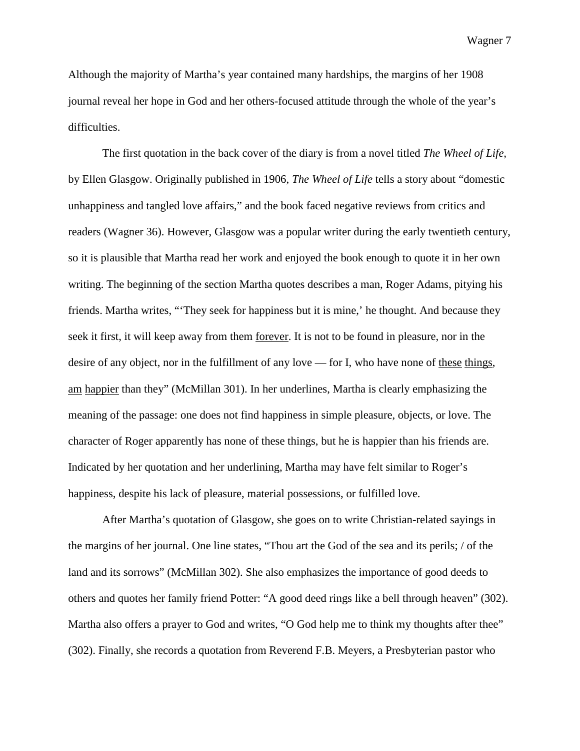Although the majority of Martha's year contained many hardships, the margins of her 1908 journal reveal her hope in God and her others-focused attitude through the whole of the year's difficulties.

The first quotation in the back cover of the diary is from a novel titled *The Wheel of Life,*  by Ellen Glasgow. Originally published in 1906, *The Wheel of Life* tells a story about "domestic unhappiness and tangled love affairs," and the book faced negative reviews from critics and readers (Wagner 36). However, Glasgow was a popular writer during the early twentieth century, so it is plausible that Martha read her work and enjoyed the book enough to quote it in her own writing. The beginning of the section Martha quotes describes a man, Roger Adams, pitying his friends. Martha writes, "'They seek for happiness but it is mine,' he thought. And because they seek it first, it will keep away from them forever. It is not to be found in pleasure, nor in the desire of any object, nor in the fulfillment of any love — for I, who have none of these things, am happier than they" (McMillan 301). In her underlines, Martha is clearly emphasizing the meaning of the passage: one does not find happiness in simple pleasure, objects, or love. The character of Roger apparently has none of these things, but he is happier than his friends are. Indicated by her quotation and her underlining, Martha may have felt similar to Roger's happiness, despite his lack of pleasure, material possessions, or fulfilled love.

After Martha's quotation of Glasgow, she goes on to write Christian-related sayings in the margins of her journal. One line states, "Thou art the God of the sea and its perils; / of the land and its sorrows" (McMillan 302). She also emphasizes the importance of good deeds to others and quotes her family friend Potter: "A good deed rings like a bell through heaven" (302). Martha also offers a prayer to God and writes, "O God help me to think my thoughts after thee" (302). Finally, she records a quotation from Reverend F.B. Meyers, a Presbyterian pastor who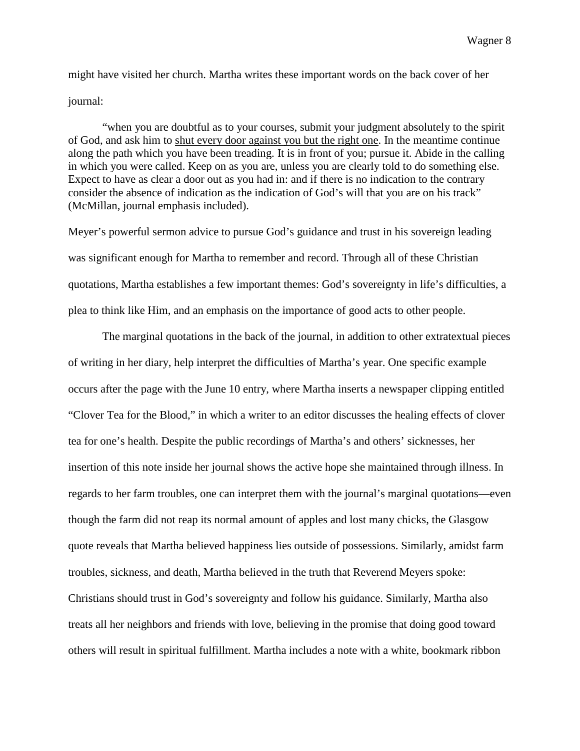might have visited her church. Martha writes these important words on the back cover of her

### journal:

"when you are doubtful as to your courses, submit your judgment absolutely to the spirit of God, and ask him to shut every door against you but the right one. In the meantime continue along the path which you have been treading. It is in front of you; pursue it. Abide in the calling in which you were called. Keep on as you are, unless you are clearly told to do something else. Expect to have as clear a door out as you had in: and if there is no indication to the contrary consider the absence of indication as the indication of God's will that you are on his track" (McMillan, journal emphasis included).

Meyer's powerful sermon advice to pursue God's guidance and trust in his sovereign leading was significant enough for Martha to remember and record. Through all of these Christian quotations, Martha establishes a few important themes: God's sovereignty in life's difficulties, a plea to think like Him, and an emphasis on the importance of good acts to other people.

The marginal quotations in the back of the journal, in addition to other extratextual pieces of writing in her diary, help interpret the difficulties of Martha's year. One specific example occurs after the page with the June 10 entry, where Martha inserts a newspaper clipping entitled "Clover Tea for the Blood," in which a writer to an editor discusses the healing effects of clover tea for one's health. Despite the public recordings of Martha's and others' sicknesses, her insertion of this note inside her journal shows the active hope she maintained through illness. In regards to her farm troubles, one can interpret them with the journal's marginal quotations—even though the farm did not reap its normal amount of apples and lost many chicks, the Glasgow quote reveals that Martha believed happiness lies outside of possessions. Similarly, amidst farm troubles, sickness, and death, Martha believed in the truth that Reverend Meyers spoke: Christians should trust in God's sovereignty and follow his guidance. Similarly, Martha also treats all her neighbors and friends with love, believing in the promise that doing good toward others will result in spiritual fulfillment. Martha includes a note with a white, bookmark ribbon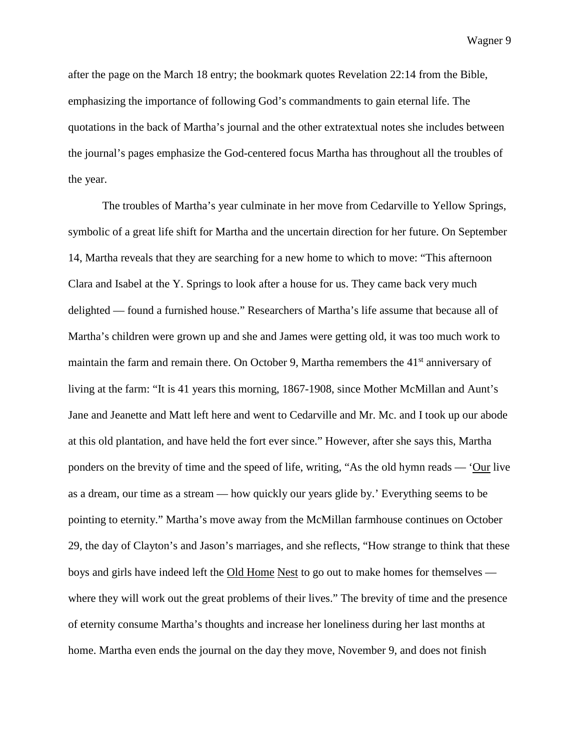after the page on the March 18 entry; the bookmark quotes Revelation 22:14 from the Bible, emphasizing the importance of following God's commandments to gain eternal life. The quotations in the back of Martha's journal and the other extratextual notes she includes between the journal's pages emphasize the God-centered focus Martha has throughout all the troubles of the year.

The troubles of Martha's year culminate in her move from Cedarville to Yellow Springs, symbolic of a great life shift for Martha and the uncertain direction for her future. On September 14, Martha reveals that they are searching for a new home to which to move: "This afternoon Clara and Isabel at the Y. Springs to look after a house for us. They came back very much delighted — found a furnished house." Researchers of Martha's life assume that because all of Martha's children were grown up and she and James were getting old, it was too much work to maintain the farm and remain there. On October 9, Martha remembers the 41<sup>st</sup> anniversary of living at the farm: "It is 41 years this morning, 1867-1908, since Mother McMillan and Aunt's Jane and Jeanette and Matt left here and went to Cedarville and Mr. Mc. and I took up our abode at this old plantation, and have held the fort ever since." However, after she says this, Martha ponders on the brevity of time and the speed of life, writing, "As the old hymn reads — 'Our live as a dream, our time as a stream — how quickly our years glide by.' Everything seems to be pointing to eternity." Martha's move away from the McMillan farmhouse continues on October 29, the day of Clayton's and Jason's marriages, and she reflects, "How strange to think that these boys and girls have indeed left the Old Home Nest to go out to make homes for themselves where they will work out the great problems of their lives." The brevity of time and the presence of eternity consume Martha's thoughts and increase her loneliness during her last months at home. Martha even ends the journal on the day they move, November 9, and does not finish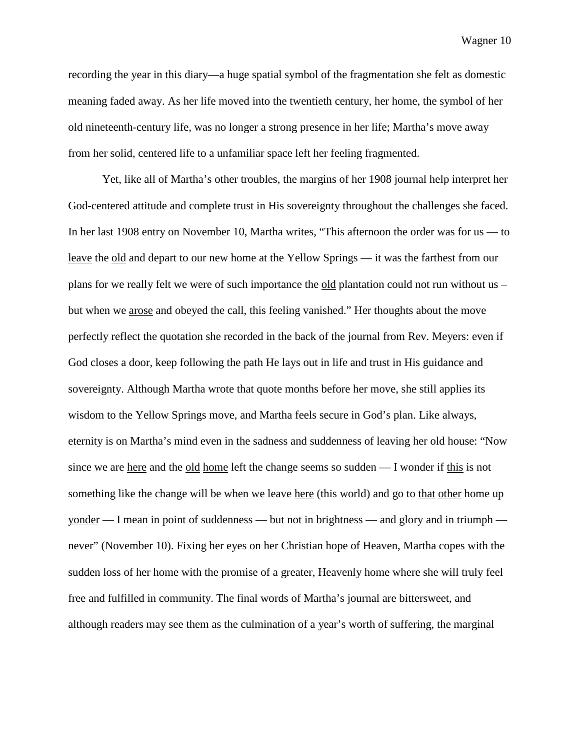recording the year in this diary—a huge spatial symbol of the fragmentation she felt as domestic meaning faded away. As her life moved into the twentieth century, her home, the symbol of her old nineteenth-century life, was no longer a strong presence in her life; Martha's move away from her solid, centered life to a unfamiliar space left her feeling fragmented.

Yet, like all of Martha's other troubles, the margins of her 1908 journal help interpret her God-centered attitude and complete trust in His sovereignty throughout the challenges she faced. In her last 1908 entry on November 10, Martha writes, "This afternoon the order was for us — to leave the old and depart to our new home at the Yellow Springs — it was the farthest from our plans for we really felt we were of such importance the old plantation could not run without us – but when we arose and obeyed the call, this feeling vanished." Her thoughts about the move perfectly reflect the quotation she recorded in the back of the journal from Rev. Meyers: even if God closes a door, keep following the path He lays out in life and trust in His guidance and sovereignty. Although Martha wrote that quote months before her move, she still applies its wisdom to the Yellow Springs move, and Martha feels secure in God's plan. Like always, eternity is on Martha's mind even in the sadness and suddenness of leaving her old house: "Now since we are here and the old home left the change seems so sudden — I wonder if this is not something like the change will be when we leave here (this world) and go to that other home up yonder — I mean in point of suddenness — but not in brightness — and glory and in triumph never" (November 10). Fixing her eyes on her Christian hope of Heaven, Martha copes with the sudden loss of her home with the promise of a greater, Heavenly home where she will truly feel free and fulfilled in community. The final words of Martha's journal are bittersweet, and although readers may see them as the culmination of a year's worth of suffering, the marginal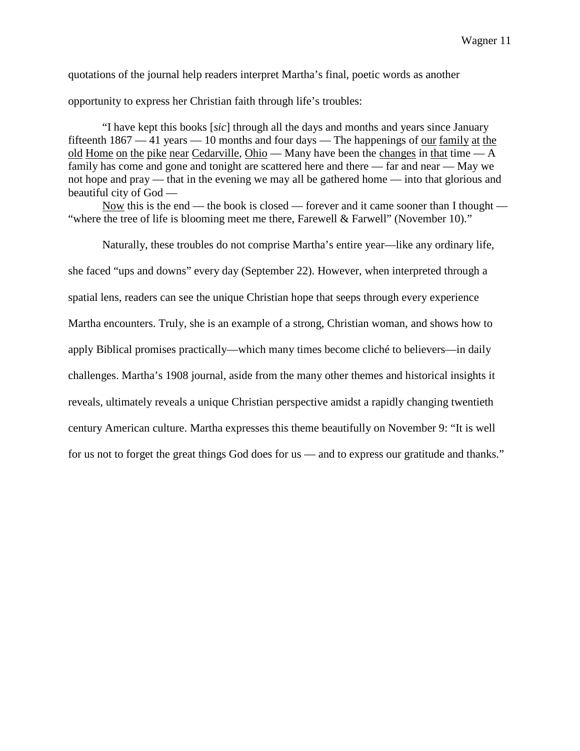quotations of the journal help readers interpret Martha's final, poetic words as another

opportunity to express her Christian faith through life's troubles:

"I have kept this books [*sic*] through all the days and months and years since January fifteenth 1867 — 41 years — 10 months and four days — The happenings of our family at the old Home on the pike near Cedarville, Ohio — Many have been the changes in that time — A family has come and gone and tonight are scattered here and there — far and near — May we not hope and pray — that in the evening we may all be gathered home — into that glorious and beautiful city of God —

Now this is the end — the book is closed — forever and it came sooner than I thought — "where the tree of life is blooming meet me there, Farewell & Farwell" (November 10)."

Naturally, these troubles do not comprise Martha's entire year—like any ordinary life,

she faced "ups and downs" every day (September 22). However, when interpreted through a

spatial lens, readers can see the unique Christian hope that seeps through every experience

Martha encounters. Truly, she is an example of a strong, Christian woman, and shows how to

apply Biblical promises practically—which many times become cliché to believers—in daily

challenges. Martha's 1908 journal, aside from the many other themes and historical insights it

reveals, ultimately reveals a unique Christian perspective amidst a rapidly changing twentieth

century American culture. Martha expresses this theme beautifully on November 9: "It is well

for us not to forget the great things God does for us — and to express our gratitude and thanks."